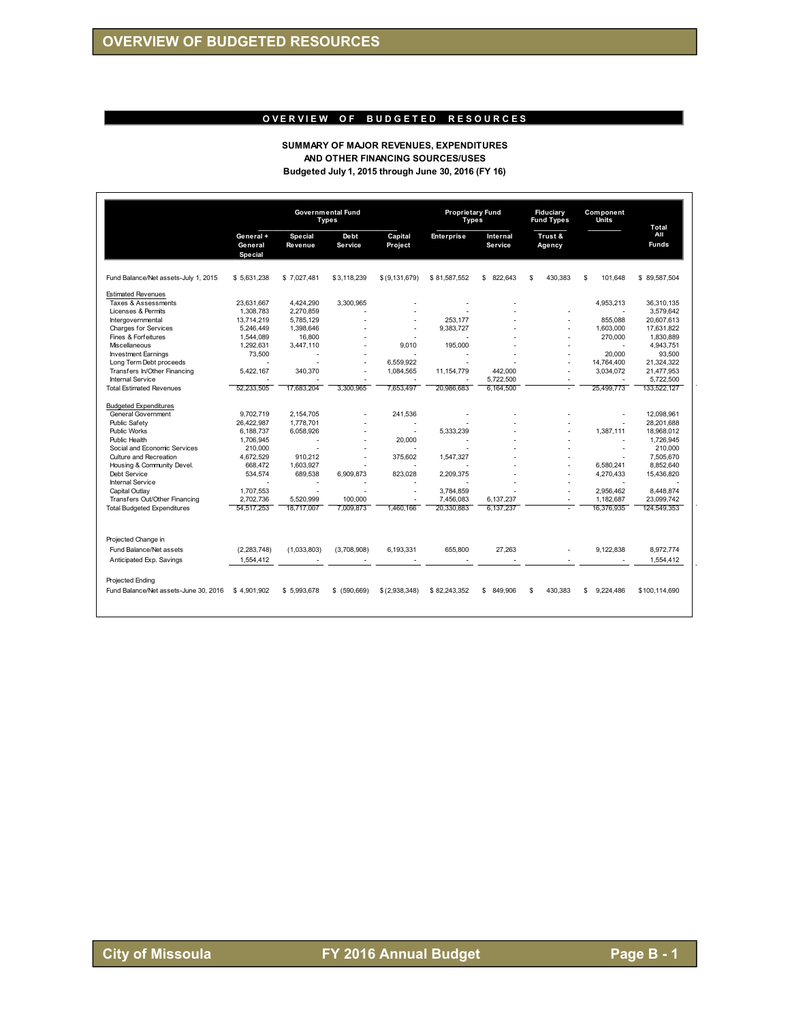### **OVERVIEW OF BUDGETED RESOURCES**

#### **SUMMARY OF MAJOR REVENUES, EXPENDITURES AND OTHER FINANCING SOURCES/USES Budgeted July 1, 2015 through June 30, 2016 (FY 16)**

|                                       |                                |                    | <b>Governmental Fund</b><br><b>Types</b> |                    | <b>Proprietary Fund</b><br>Types |                            | Fiduciary<br><b>Fund Types</b> | Component<br>Units | <b>Total</b>        |
|---------------------------------------|--------------------------------|--------------------|------------------------------------------|--------------------|----------------------------------|----------------------------|--------------------------------|--------------------|---------------------|
|                                       | General+<br>General<br>Special | Special<br>Revenue | <b>Debt</b><br><b>Service</b>            | Capital<br>Project | <b>Enterprise</b>                | Internal<br><b>Service</b> | Trust &<br>Agency              |                    | All<br><b>Funds</b> |
| Fund Balance/Net assets-July 1, 2015  | \$5,631,238                    | \$7.027.481        | \$3,118,239                              | \$ (9, 131, 679)   | \$81,587,552                     | \$ 822,643                 | 430.383<br>\$                  | \$<br>101,648      | \$89,587,504        |
| <b>Estimated Revenues</b>             |                                |                    |                                          |                    |                                  |                            |                                |                    |                     |
| Taxes & Assessments                   | 23,631,667                     | 4,424,290          | 3.300.965                                |                    |                                  |                            |                                | 4,953,213          | 36,310,135          |
| Licenses & Permits                    | 1.308.783                      | 2.270.859          |                                          |                    |                                  |                            |                                |                    | 3.579.642           |
| Intergovernmental                     | 13,714,219                     | 5.785.129          |                                          | J.                 | 253.177                          |                            |                                | 855.088            | 20.607.613          |
| Charges for Services                  | 5,246,449                      | 1,398,646          |                                          |                    | 9,383,727                        |                            |                                | 1,603,000          | 17,631,822          |
| Fines & Forfeitures                   | 1,544,089                      | 16,800             |                                          |                    |                                  |                            |                                | 270.000            | 1,830,889           |
| Miscellaneous                         | 1,292,631                      | 3,447,110          |                                          | 9,010              | 195,000                          |                            |                                |                    | 4,943,751           |
| <b>Investment Earnings</b>            | 73.500                         |                    |                                          |                    |                                  |                            |                                | 20.000             | 93.500              |
| Long Term Debt proceeds               |                                |                    |                                          | 6.559.922          |                                  |                            |                                | 14,764,400         | 21,324,322          |
| Transfers In/Other Financing          | 5,422,167                      | 340,370            |                                          | 1,084,565          | 11, 154, 779                     | 442,000                    |                                | 3,034,072          | 21,477,953          |
| <b>Internal Service</b>               |                                |                    |                                          |                    |                                  | 5.722.500                  |                                |                    | 5.722.500           |
| <b>Total Estimated Revenues</b>       | 52.233.505                     | 17,683,204         | 3.300.965                                | 7.653.497          | 20.986.683                       | 6.164.500                  |                                | 25.499.773         | 133,522,127         |
| <b>Budgeted Expenditures</b>          |                                |                    |                                          |                    |                                  |                            |                                |                    |                     |
| General Government                    | 9.702.719                      | 2.154.705          |                                          | 241.536            |                                  |                            |                                |                    | 12.098.961          |
| Public Safety                         | 26.422.987                     | 1,778,701          |                                          |                    |                                  |                            |                                |                    | 28,201,688          |
| <b>Public Works</b>                   | 6.188.737                      | 6.058.926          |                                          | J.                 | 5.333.239                        |                            |                                | 1.387.111          | 18.968.012          |
| <b>Public Health</b>                  | 1.706.945                      |                    |                                          | 20.000             |                                  |                            |                                |                    | 1,726,945           |
| Social and Economic Services          | 210,000                        |                    |                                          |                    |                                  |                            |                                | $\sim$             | 210.000             |
| Culture and Recreation                | 4,672,529                      | 910,212            | ÷.                                       | 375,602            | 1,547,327                        |                            |                                |                    | 7.505.670           |
| Housing & Community Devel.            | 668,472                        | 1,603,927          |                                          |                    |                                  |                            |                                | 6.580.241          | 8,852,640           |
| Debt Service                          | 534,574                        | 689,538            | 6,909,873                                | 823.028            | 2.209.375                        |                            |                                | 4.270.433          | 15.436.820          |
| <b>Internal Service</b>               |                                |                    |                                          |                    |                                  |                            |                                |                    |                     |
| Capital Outlay                        | 1,707,553                      | $\overline{a}$     |                                          | ÷                  | 3,784,859                        |                            |                                | 2,956,462          | 8,448,874           |
| Transfers Out/Other Financing         | 2,702,736                      | 5.520.999          | 100,000                                  |                    | 7,456,083                        | 6,137,237                  |                                | 1.182.687          | 23.099.742          |
| <b>Total Budgeted Expenditures</b>    | 54.517.253                     | 18.717.007         | 7.009.873                                | 1.460.166          | 20.330.883                       | 6.137.237                  |                                | 16.376.935         | 124.549.353         |
| Projected Change in                   |                                |                    |                                          |                    |                                  |                            |                                |                    |                     |
| Fund Balance/Net assets               | (2, 283, 748)                  | (1,033,803)        | (3,708,908)                              | 6,193,331          | 655,800                          | 27,263                     |                                | 9,122,838          | 8,972,774           |
| Anticipated Exp. Savings              | 1.554.412                      |                    |                                          |                    |                                  |                            |                                |                    | 1,554,412           |
|                                       |                                |                    |                                          |                    |                                  |                            |                                |                    |                     |
| Projected Ending                      |                                |                    |                                          |                    |                                  |                            |                                |                    |                     |
| Fund Balance/Net assets-June 30, 2016 | \$4.901.902                    | \$5.993.678        | \$ (590.669)                             | \$(2,938,348)      | \$82.243.352                     | 849.906<br>\$.             | \$<br>430.383                  | S<br>9,224,486     | \$100,114,690       |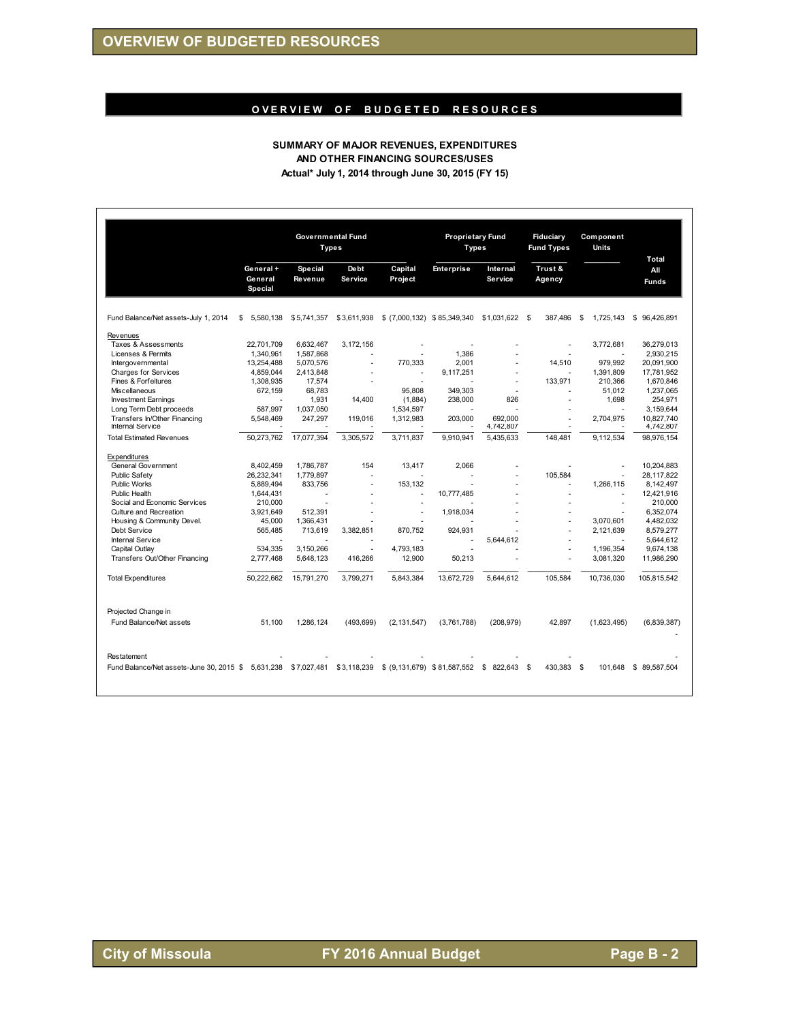# O VER VIEW OF BUDGETED RESOURCES

#### **SUMMARY OF MAJOR REVENUES, EXPENDITURES AND OTHER FINANCING SOURCES/USES Actual\* July 1, 2014 through June 30, 2015 (FY 15)**

|                                                                   |                                 | Types                            | <b>Governmental Fund</b>       |                              | <b>Proprietary Fund</b><br><b>Types</b> |                            | <b>Fiduciary</b><br><b>Fund Types</b> | Component<br>Units | <b>Total</b>        |
|-------------------------------------------------------------------|---------------------------------|----------------------------------|--------------------------------|------------------------------|-----------------------------------------|----------------------------|---------------------------------------|--------------------|---------------------|
|                                                                   | General +<br>General<br>Special | <b>Special</b><br><b>Revenue</b> | <b>De bt</b><br><b>Service</b> | Capital<br><b>Project</b>    | <b>Enterprise</b>                       | Internal<br><b>Service</b> | Trust &<br>Agency                     |                    | All<br><b>Funds</b> |
| Fund Balance/Net assets-July 1, 2014                              | \$<br>5,580,138                 | \$5,741,357                      | \$3,611,938                    | \$ (7,000,132) \$85,349,340  |                                         | \$1,031,622 \$             | 387,486                               | \$<br>1,725,143    | \$<br>96,426,891    |
| Revenues                                                          |                                 |                                  |                                |                              |                                         |                            |                                       |                    |                     |
| Taxes & Assessments                                               | 22.701.709                      | 6.632.467                        | 3.172.156                      |                              |                                         |                            |                                       | 3.772.681          | 36.279.013          |
| Licenses & Permits                                                | 1.340.961                       | 1,587,868                        | ٠                              |                              | 1,386                                   | ÷.                         |                                       |                    | 2.930.215           |
| Intergovernmental                                                 | 13,254,488                      | 5,070,576                        | ÷,                             | 770,333                      | 2,001                                   |                            | 14,510                                | 979.992            | 20,091,900          |
| Charges for Services                                              | 4,859,044                       | 2,413,848                        |                                | ä,                           | 9,117,251                               | ٠                          |                                       | 1,391,809          | 17,781,952          |
| Fines & Forfeitures                                               | 1,308,935                       | 17,574                           | ٠                              | ٠                            |                                         | ٠                          | 133,971                               | 210,366            | 1,670,846           |
| Miscellaneous                                                     | 672,159                         | 68,783                           |                                | 95,808                       | 349,303                                 |                            |                                       | 51,012             | 1,237,065           |
| <b>Investment Earnings</b>                                        |                                 | 1.931                            | 14.400                         | (1,884)                      | 238,000                                 | 826                        |                                       | 1.698              | 254.971             |
| Long Term Debt proceeds                                           | 587.997                         | 1,037,050                        |                                | 1,534,597                    |                                         |                            |                                       |                    | 3,159,644           |
| Transfers In/Other Financing                                      | 5.548.469                       | 247.297                          | 119,016                        | 1,312,983                    | 203.000                                 | 692.000                    |                                       | 2.704.975          | 10,827,740          |
| <b>Internal Service</b>                                           |                                 |                                  |                                |                              |                                         | 4,742,807                  |                                       |                    | 4,742,807           |
| <b>Total Estimated Revenues</b>                                   | 50.273.762                      | 17.077.394                       | 3.305.572                      | 3.711.837                    | 9.910.941                               | 5.435.633                  | 148.481                               | 9.112.534          | 98.976.154          |
| Expenditures                                                      |                                 |                                  |                                |                              |                                         |                            |                                       |                    |                     |
| General Government                                                | 8,402,459                       | 1,786,787                        | 154                            | 13,417                       | 2,066                                   |                            |                                       | ٠                  | 10,204,883          |
| <b>Public Safety</b>                                              | 26.232.341                      | 1.779.897                        |                                |                              |                                         | ٠                          | 105.584                               |                    | 28.117.822          |
| <b>Public Works</b>                                               | 5.889.494                       | 833,756                          | ÷,                             | 153,132                      |                                         |                            |                                       | 1,266,115          | 8,142,497           |
| Public Health                                                     | 1,644,431                       |                                  | ٠                              | ÷,                           | 10,777,485                              |                            | ٠                                     | ٠                  | 12,421,916          |
| Social and Economic Services                                      | 210,000                         |                                  | ÷.                             |                              |                                         |                            |                                       | ÷.                 | 210,000             |
| Culture and Recreation                                            | 3.921.649                       | 512.391                          |                                | ä,                           | 1.918.034                               |                            |                                       |                    | 6.352.074           |
| Housing & Community Devel.                                        | 45.000                          | 1.366.431                        |                                |                              |                                         |                            |                                       | 3.070.601          | 4.482.032           |
| Debt Service                                                      | 565,485                         | 713.619                          | 3,382,851                      | 870,752                      | 924.931                                 |                            |                                       | 2,121,639          | 8,579,277           |
| <b>Internal Service</b>                                           |                                 |                                  |                                |                              |                                         | 5,644,612                  |                                       |                    | 5,644,612           |
| Capital Outlay                                                    | 534.335                         | 3.150.266                        |                                | 4,793,183                    |                                         |                            |                                       | 1,196,354          | 9,674,138           |
| Transfers Out/Other Financing                                     | 2,777,468                       | 5,648,123                        | 416,266                        | 12,900                       | 50,213                                  | ٠                          |                                       | 3,081,320          | 11,986,290          |
| <b>Total Expenditures</b>                                         | 50,222,662                      | 15,791,270                       | 3,799,271                      | 5,843,384                    | 13,672,729                              | 5,644,612                  | 105,584                               | 10,736,030         | 105,815,542         |
| Projected Change in<br>Fund Balance/Net assets                    | 51.100                          | 1.286.124                        | (493, 699)                     | (2, 131, 547)                | (3,761,788)                             | (208, 979)                 | 42.897                                | (1,623,495)        | (6,839,387)         |
| Restatement<br>Fund Balance/Net assets-June 30, 2015 \$ 5,631,238 |                                 | \$7,027,481                      | \$3,118,239                    | \$ (9,131,679) \$ 81,587,552 |                                         | \$<br>822.643              | 430.383<br>- \$                       | S.<br>101.648      | \$89,587,504        |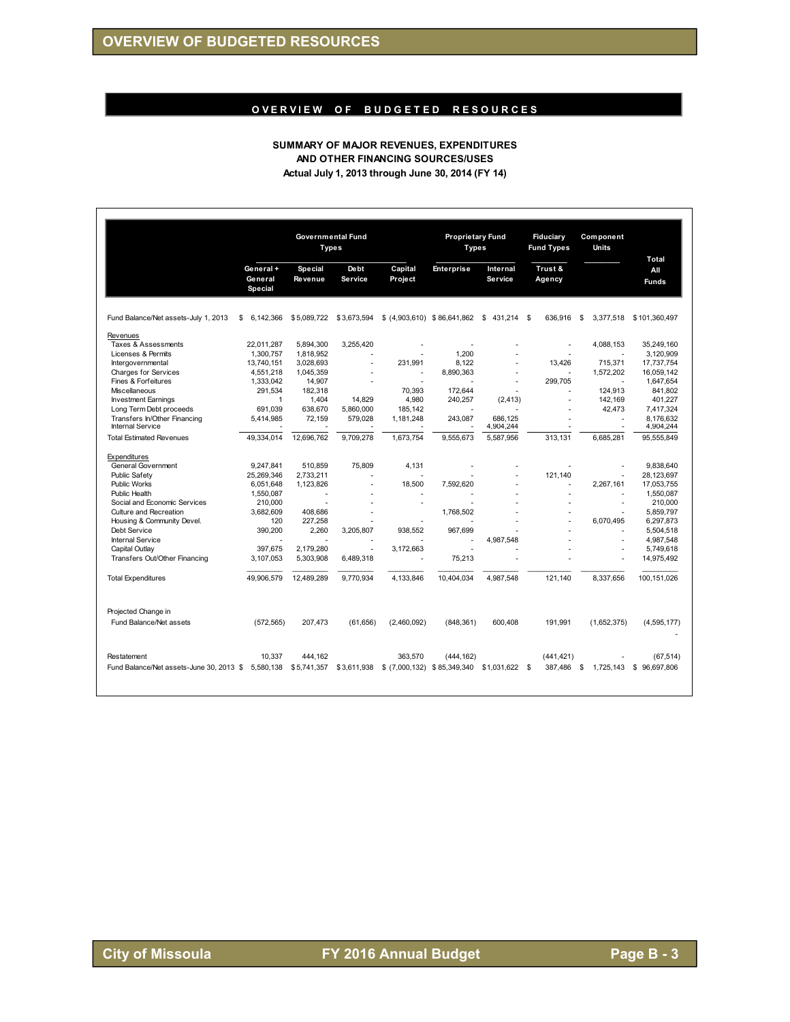# O VER VIEW OF BUDGETED RESOURCES

#### **SUMMARY OF MAJOR REVENUES, EXPENDITURES AND OTHER FINANCING SOURCES/USES Actual July 1, 2013 through June 30, 2014 (FY 14)**

|                                                    | <b>Governmental Fund</b><br><b>Types</b> |                                  |                        |                              | <b>Proprietary Fund</b><br><b>Types</b> |                            | <b>Fiduciary</b><br><b>Fund Types</b> | Component<br>Units       |                              |
|----------------------------------------------------|------------------------------------------|----------------------------------|------------------------|------------------------------|-----------------------------------------|----------------------------|---------------------------------------|--------------------------|------------------------------|
|                                                    | General +<br>General<br><b>Special</b>   | <b>Special</b><br><b>Revenue</b> | Debt<br><b>Service</b> | Capital<br>Project           | <b>Enterprise</b>                       | Internal<br><b>Service</b> | Trust &<br>Agency                     |                          | Total<br>All<br><b>Funds</b> |
|                                                    |                                          |                                  |                        |                              |                                         |                            |                                       |                          |                              |
| Fund Balance/Net assets-July 1, 2013               | 6.142.366<br>S                           | \$5,089,722                      | \$3,673,594            | \$ (4,903,610) \$86,641,862  |                                         | \$<br>431,214              | 636.916<br>- \$                       | \$<br>3,377,518          | \$101,360,497                |
| Revenues                                           |                                          |                                  |                        |                              |                                         |                            |                                       |                          |                              |
| Taxes & Assessments                                | 22,011,287                               | 5,894,300                        | 3,255,420              | ٠                            |                                         |                            |                                       | 4,088,153                | 35,249,160                   |
| Licenses & Permits                                 | 1,300,757                                | 1,818,952                        |                        |                              | 1,200                                   |                            |                                       |                          | 3,120,909                    |
| Intergovernmental                                  | 13,740,151                               | 3,028,693                        | ÷.                     | 231,991                      | 8,122                                   |                            | 13,426                                | 715,371                  | 17,737,754                   |
| <b>Charges for Services</b>                        | 4,551,218                                | 1,045,359                        |                        | ä,                           | 8,890,363                               |                            |                                       | 1,572,202                | 16,059,142                   |
| Fines & Forfeitures                                | 1.333.042                                | 14.907                           | ÷                      |                              |                                         |                            | 299.705                               | $\overline{a}$           | 1,647,654                    |
| Miscellaneous                                      | 291,534                                  | 182.318                          |                        | 70.393                       | 172.644                                 |                            |                                       | 124.913                  | 841.802                      |
| <b>Investment Earnings</b>                         | $\mathbf{1}$                             | 1.404                            | 14.829                 | 4.980                        | 240,257                                 | (2, 413)                   | ÷                                     | 142.169                  | 401.227                      |
| Long Term Debt proceeds                            | 691.039                                  | 638.670                          | 5,860,000              | 185.142                      |                                         |                            |                                       | 42,473                   | 7,417,324                    |
| Transfers In/Other Financing                       | 5,414,985                                | 72,159                           | 579,028                | 1,181,248                    | 243,087                                 | 686.125                    |                                       | ÷,                       | 8.176.632                    |
| <b>Internal Service</b>                            |                                          |                                  |                        |                              |                                         | 4,904,244                  |                                       |                          | 4,904,244                    |
| <b>Total Estimated Revenues</b>                    | 49,334,014                               | 12,696,762                       | 9,709,278              | 1,673,754                    | 9,555,673                               | 5,587,956                  | 313,131                               | 6,685,281                | 95,555,849                   |
| Expenditures                                       |                                          |                                  |                        |                              |                                         |                            |                                       |                          |                              |
| General Government                                 | 9.247.841                                | 510.859                          | 75.809                 | 4.131                        |                                         |                            |                                       |                          | 9.838.640                    |
| Public Safety                                      | 25.269.346                               | 2.733.211                        |                        |                              |                                         |                            | 121,140                               |                          | 28,123,697                   |
| <b>Public Works</b>                                | 6,051,648                                | 1,123,826                        | ÷                      | 18.500                       | 7,592,620                               |                            |                                       | 2,267,161                | 17,053,755                   |
| <b>Public Health</b>                               | 1,550,087                                |                                  |                        |                              |                                         |                            |                                       |                          | 1,550,087                    |
| Social and Economic Services                       | 210,000                                  |                                  |                        | ÷.                           |                                         |                            |                                       | ÷.                       | 210,000                      |
| Culture and Recreation                             | 3,682,609                                | 408,686                          |                        |                              | 1,768,502                               |                            |                                       |                          | 5,859,797                    |
| Housing & Community Devel.                         | 120                                      | 227.258                          |                        |                              |                                         |                            |                                       | 6.070.495                | 6.297.873                    |
| Debt Service                                       | 390.200                                  | 2.260                            | 3.205.807              | 938.552                      | 967.699                                 |                            |                                       |                          | 5.504.518                    |
| <b>Internal Service</b>                            |                                          |                                  |                        |                              |                                         | 4,987,548                  |                                       | $\overline{\phantom{a}}$ | 4,987,548                    |
| Capital Outlay                                     | 397.675                                  | 2.179.280                        | ÷.                     | 3,172,663                    |                                         |                            |                                       |                          | 5,749,618                    |
| Transfers Out/Other Financing                      | 3.107.053                                | 5,303,908                        | 6,489,318              |                              | 75,213                                  |                            |                                       |                          | 14,975,492                   |
| <b>Total Expenditures</b>                          | 49,906,579                               | 12.489.289                       | 9,770,934              | 4.133.846                    | 10,404,034                              | 4.987.548                  | 121.140                               | 8.337.656                | 100,151,026                  |
| Projected Change in                                |                                          |                                  |                        |                              |                                         |                            |                                       |                          |                              |
| Fund Balance/Net assets                            | (572, 565)                               | 207,473                          | (61, 656)              | (2,460,092)                  | (848, 361)                              | 600,408                    | 191,991                               | (1,652,375)              | (4,595,177)                  |
| Restatement                                        | 10,337                                   | 444,162                          |                        | 363,570                      | (444, 162)                              |                            | (441, 421)                            |                          | (67, 514)                    |
|                                                    |                                          |                                  |                        |                              |                                         |                            |                                       |                          |                              |
| Fund Balance/Net assets-June 30, 2013 \$ 5,580,138 |                                          | \$5,741,357                      | \$3,611,938            | \$ (7,000,132) \$ 85,349,340 |                                         | \$1,031,622 \$             | 387,486                               | \$<br>1,725,143          | \$96,697,806                 |
|                                                    |                                          |                                  |                        |                              |                                         |                            |                                       |                          |                              |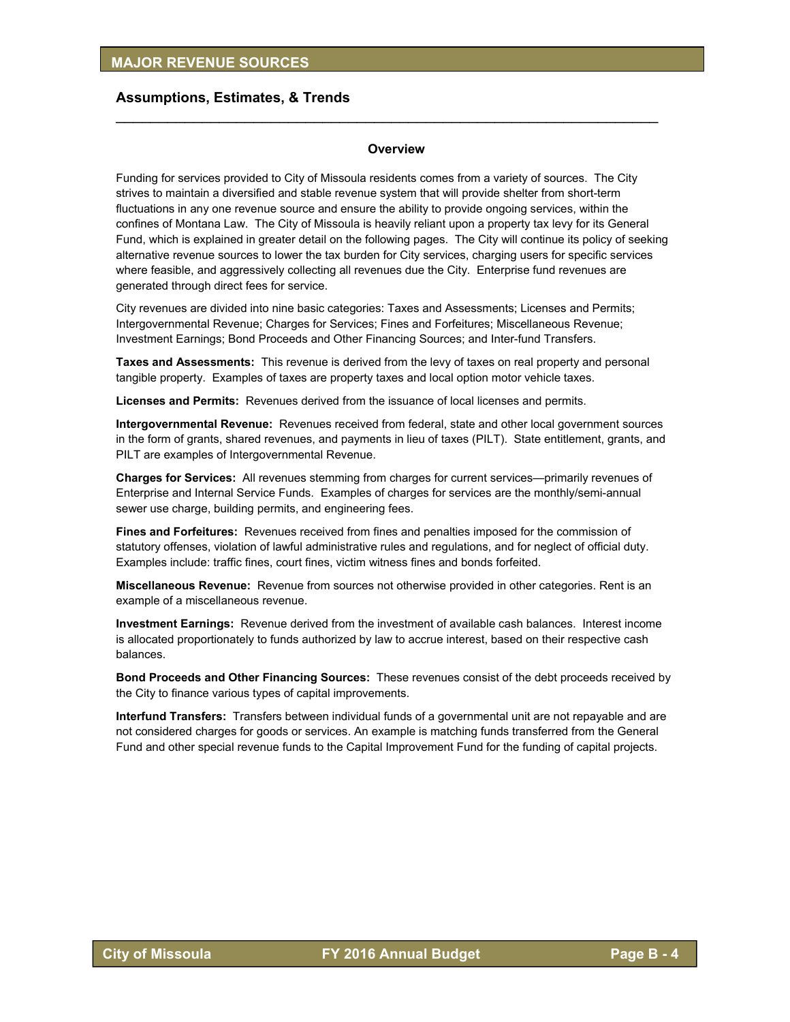#### **Overview**

 $\mathcal{L}_\text{max}$  , and the contract of the contract of the contract of the contract of the contract of the contract of

Funding for services provided to City of Missoula residents comes from a variety of sources. The City strives to maintain a diversified and stable revenue system that will provide shelter from short-term fluctuations in any one revenue source and ensure the ability to provide ongoing services, within the confines of Montana Law. The City of Missoula is heavily reliant upon a property tax levy for its General Fund, which is explained in greater detail on the following pages. The City will continue its policy of seeking alternative revenue sources to lower the tax burden for City services, charging users for specific services where feasible, and aggressively collecting all revenues due the City. Enterprise fund revenues are generated through direct fees for service.

City revenues are divided into nine basic categories: Taxes and Assessments; Licenses and Permits; Intergovernmental Revenue; Charges for Services; Fines and Forfeitures; Miscellaneous Revenue; Investment Earnings; Bond Proceeds and Other Financing Sources; and Inter-fund Transfers.

**Taxes and Assessments:** This revenue is derived from the levy of taxes on real property and personal tangible property. Examples of taxes are property taxes and local option motor vehicle taxes.

**Licenses and Permits:** Revenues derived from the issuance of local licenses and permits.

**Intergovernmental Revenue:** Revenues received from federal, state and other local government sources in the form of grants, shared revenues, and payments in lieu of taxes (PILT). State entitlement, grants, and PILT are examples of Intergovernmental Revenue.

**Charges for Services:** All revenues stemming from charges for current services—primarily revenues of Enterprise and Internal Service Funds.Examples of charges for services are the monthly/semi-annual sewer use charge, building permits, and engineering fees.

**Fines and Forfeitures:** Revenues received from fines and penalties imposed for the commission of statutory offenses, violation of lawful administrative rules and regulations, and for neglect of official duty. Examples include: traffic fines, court fines, victim witness fines and bonds forfeited.

**Miscellaneous Revenue:** Revenue from sources not otherwise provided in other categories. Rent is an example of a miscellaneous revenue.

**Investment Earnings:** Revenue derived from the investment of available cash balances. Interest income is allocated proportionately to funds authorized by law to accrue interest, based on their respective cash balances.

**Bond Proceeds and Other Financing Sources:** These revenues consist of the debt proceeds received by the City to finance various types of capital improvements.

**Interfund Transfers:** Transfers between individual funds of a governmental unit are not repayable and are not considered charges for goods or services. An example is matching funds transferred from the General Fund and other special revenue funds to the Capital Improvement Fund for the funding of capital projects.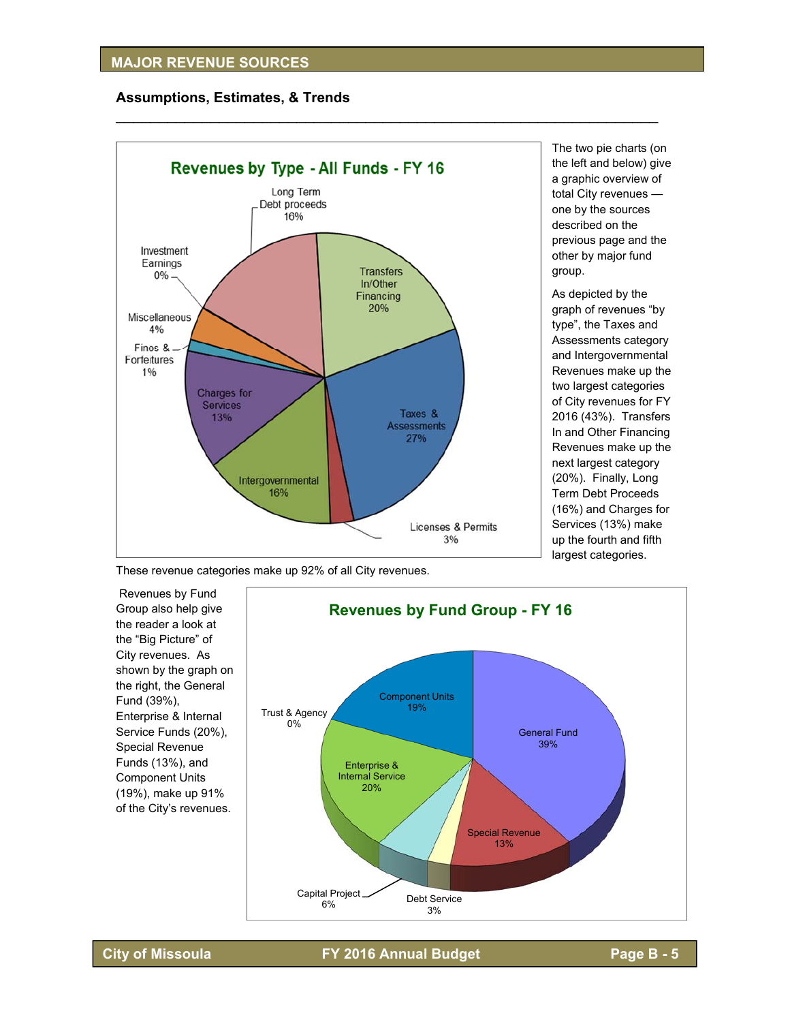

 $\mathcal{L}_\text{max}$  , and the contract of the contract of the contract of the contract of the contract of the contract of the contract of the contract of the contract of the contract of the contract of the contract of the contr

The two pie charts (on the left and below) give a graphic overview of total City revenues one by the sources described on the previous page and the other by major fund group.

As depicted by the graph of revenues "by type", the Taxes and Assessments category and Intergovernmental Revenues make up the two largest categories of City revenues for FY 2016 (43%). Transfers In and Other Financing Revenues make up the next largest category (20%). Finally, Long Term Debt Proceeds (16%) and Charges for Services (13%) make up the fourth and fifth largest categories.

These revenue categories make up 92% of all City revenues.

 Revenues by Fund Group also help give the reader a look at the "Big Picture" of City revenues. As shown by the graph on the right, the General Fund (39%), Enterprise & Internal Service Funds (20%), Special Revenue Funds (13%), and Component Units (19%), make up 91% of the City's revenues.



**City of Missoula FY 2016 Annual Budget Page B - 5**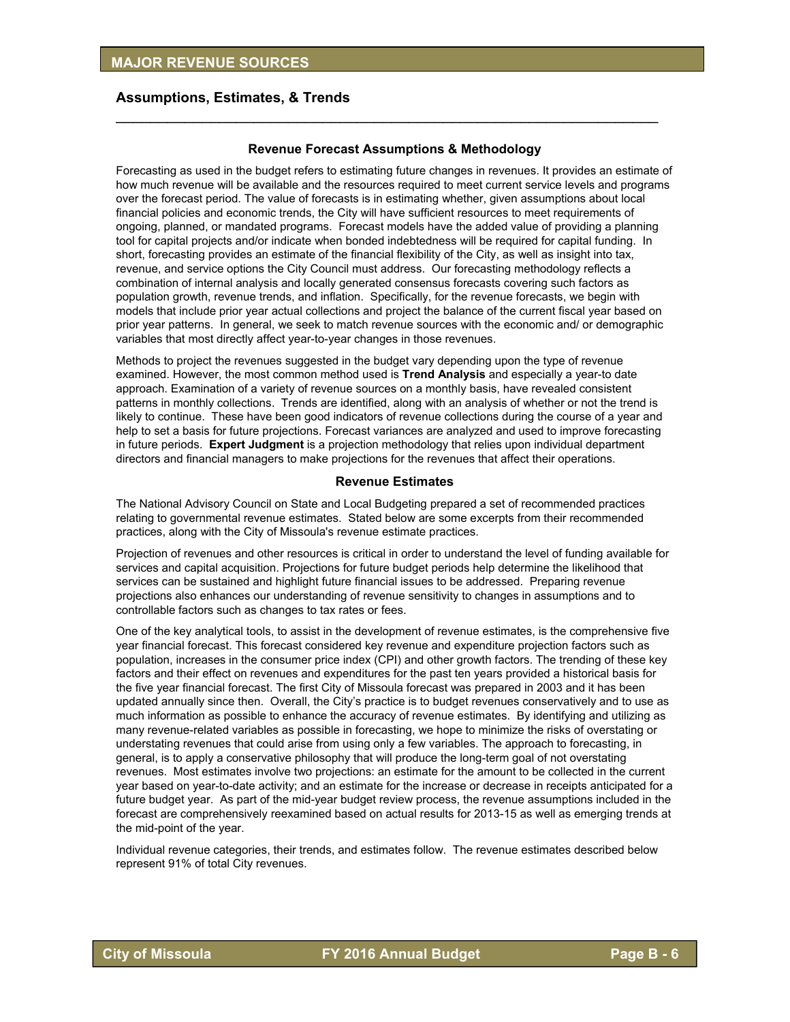### **Revenue Forecast Assumptions & Methodology**

 $\mathcal{L}_\text{max}$  , and the contract of the contract of the contract of the contract of the contract of the contract of

Forecasting as used in the budget refers to estimating future changes in revenues. It provides an estimate of how much revenue will be available and the resources required to meet current service levels and programs over the forecast period. The value of forecasts is in estimating whether, given assumptions about local financial policies and economic trends, the City will have sufficient resources to meet requirements of ongoing, planned, or mandated programs. Forecast models have the added value of providing a planning tool for capital projects and/or indicate when bonded indebtedness will be required for capital funding. In short, forecasting provides an estimate of the financial flexibility of the City, as well as insight into tax, revenue, and service options the City Council must address. Our forecasting methodology reflects a combination of internal analysis and locally generated consensus forecasts covering such factors as population growth, revenue trends, and inflation. Specifically, for the revenue forecasts, we begin with models that include prior year actual collections and project the balance of the current fiscal year based on prior year patterns. In general, we seek to match revenue sources with the economic and/ or demographic variables that most directly affect year-to-year changes in those revenues.

Methods to project the revenues suggested in the budget vary depending upon the type of revenue examined. However, the most common method used is **Trend Analysis** and especially a year-to date approach. Examination of a variety of revenue sources on a monthly basis, have revealed consistent patterns in monthly collections. Trends are identified, along with an analysis of whether or not the trend is likely to continue. These have been good indicators of revenue collections during the course of a year and help to set a basis for future projections. Forecast variances are analyzed and used to improve forecasting in future periods. **Expert Judgment** is a projection methodology that relies upon individual department directors and financial managers to make projections for the revenues that affect their operations.

#### **Revenue Estimates**

The National Advisory Council on State and Local Budgeting prepared a set of recommended practices relating to governmental revenue estimates. Stated below are some excerpts from their recommended practices, along with the City of Missoula's revenue estimate practices.

Projection of revenues and other resources is critical in order to understand the level of funding available for services and capital acquisition. Projections for future budget periods help determine the likelihood that services can be sustained and highlight future financial issues to be addressed. Preparing revenue projections also enhances our understanding of revenue sensitivity to changes in assumptions and to controllable factors such as changes to tax rates or fees.

One of the key analytical tools, to assist in the development of revenue estimates, is the comprehensive five year financial forecast. This forecast considered key revenue and expenditure projection factors such as population, increases in the consumer price index (CPI) and other growth factors. The trending of these key factors and their effect on revenues and expenditures for the past ten years provided a historical basis for the five year financial forecast. The first City of Missoula forecast was prepared in 2003 and it has been updated annually since then. Overall, the City's practice is to budget revenues conservatively and to use as much information as possible to enhance the accuracy of revenue estimates. By identifying and utilizing as many revenue-related variables as possible in forecasting, we hope to minimize the risks of overstating or understating revenues that could arise from using only a few variables. The approach to forecasting, in general, is to apply a conservative philosophy that will produce the long-term goal of not overstating revenues. Most estimates involve two projections: an estimate for the amount to be collected in the current year based on year-to-date activity; and an estimate for the increase or decrease in receipts anticipated for a future budget year. As part of the mid-year budget review process, the revenue assumptions included in the forecast are comprehensively reexamined based on actual results for 2013-15 as well as emerging trends at the mid-point of the year.

Individual revenue categories, their trends, and estimates follow. The revenue estimates described below represent 91% of total City revenues.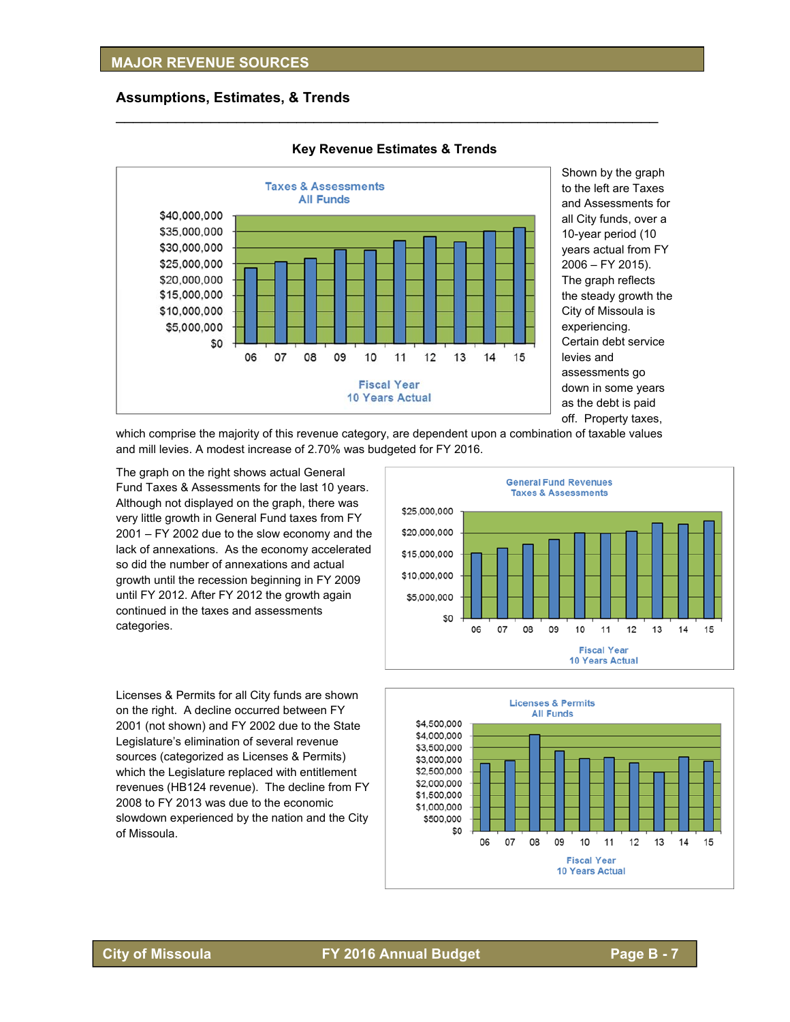

#### **Key Revenue Estimates & Trends**

 $\mathcal{L}_\text{max}$  , and the contract of the contract of the contract of the contract of the contract of the contract of the contract of the contract of the contract of the contract of the contract of the contract of the contr

Shown by the graph to the left are Taxes and Assessments for all City funds, over a 10-year period (10 years actual from FY 2006 – FY 2015). The graph reflects the steady growth the City of Missoula is experiencing. Certain debt service levies and assessments go down in some years as the debt is paid off. Property taxes,

which comprise the majority of this revenue category, are dependent upon a combination of taxable values and mill levies. A modest increase of 2.70% was budgeted for FY 2016.

The graph on the right shows actual General Fund Taxes & Assessments for the last 10 years. Although not displayed on the graph, there was very little growth in General Fund taxes from FY 2001 – FY 2002 due to the slow economy and the lack of annexations. As the economy accelerated so did the number of annexations and actual growth until the recession beginning in FY 2009 until FY 2012. After FY 2012 the growth again continued in the taxes and assessments categories.

Licenses & Permits for all City funds are shown on the right. A decline occurred between FY 2001 (not shown) and FY 2002 due to the State Legislature's elimination of several revenue sources (categorized as Licenses & Permits) which the Legislature replaced with entitlement revenues (HB124 revenue). The decline from FY 2008 to FY 2013 was due to the economic slowdown experienced by the nation and the City of Missoula.



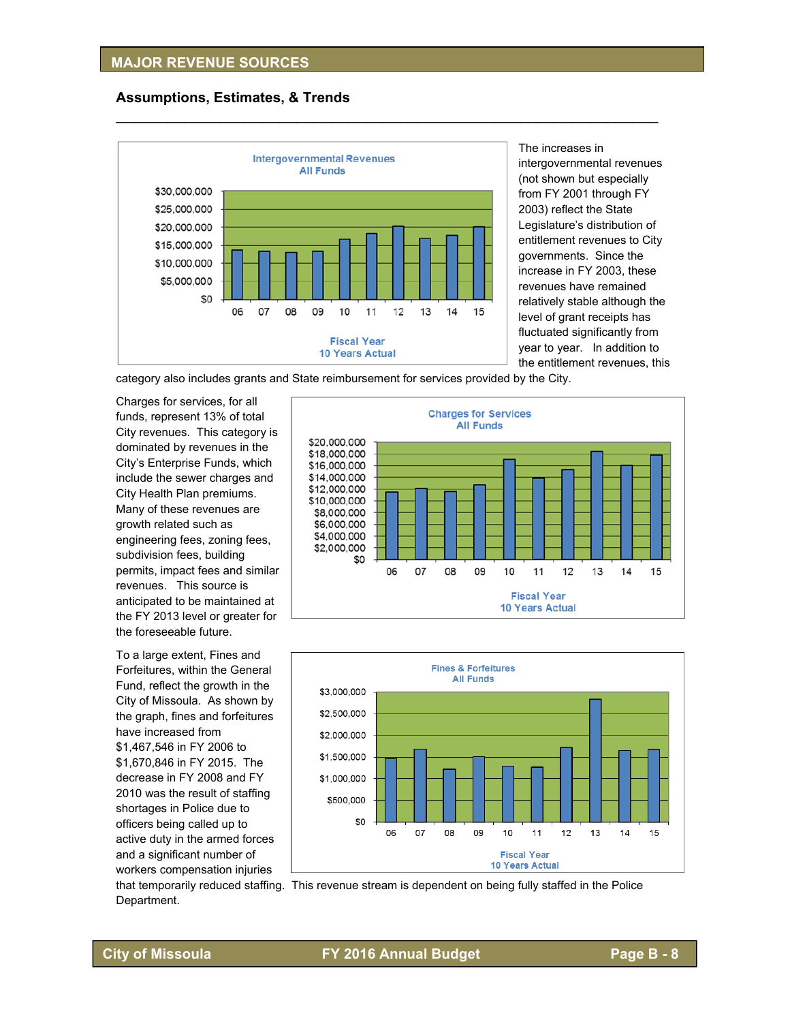

The increases in intergovernmental revenues (not shown but especially from FY 2001 through FY 2003) reflect the State Legislature's distribution of entitlement revenues to City governments. Since the increase in FY 2003, these revenues have remained relatively stable although the level of grant receipts has fluctuated significantly from year to year. In addition to the entitlement revenues, this

category also includes grants and State reimbursement for services provided by the City.

 $\mathcal{L}_\text{max}$  , and the contract of the contract of the contract of the contract of the contract of the contract of the contract of the contract of the contract of the contract of the contract of the contract of the contr

Charges for services, for all funds, represent 13% of total City revenues. This category is dominated by revenues in the City's Enterprise Funds, which include the sewer charges and City Health Plan premiums. Many of these revenues are growth related such as engineering fees, zoning fees, subdivision fees, building permits, impact fees and similar revenues. This source is anticipated to be maintained at the FY 2013 level or greater for the foreseeable future.

To a large extent, Fines and Forfeitures, within the General Fund, reflect the growth in the City of Missoula. As shown by the graph, fines and forfeitures have increased from \$1,467,546 in FY 2006 to \$1,670,846 in FY 2015. The decrease in FY 2008 and FY 2010 was the result of staffing shortages in Police due to officers being called up to active duty in the armed forces and a significant number of workers compensation injuries





that temporarily reduced staffing. This revenue stream is dependent on being fully staffed in the Police Department.